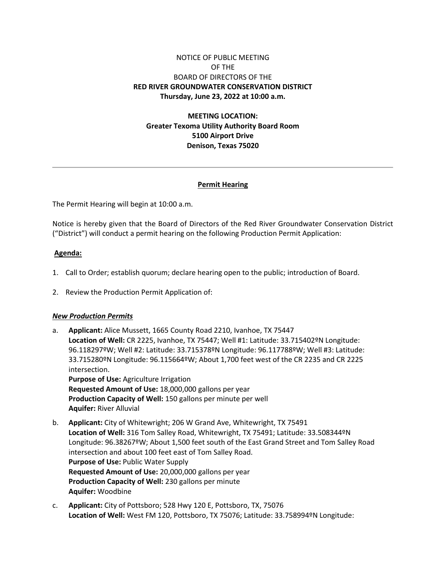# NOTICE OF PUBLIC MEETING OF THE BOARD OF DIRECTORS OF THE **RED RIVER GROUNDWATER CONSERVATION DISTRICT Thursday, June 23, 2022 at 10:00 a.m.**

**MEETING LOCATION: Greater Texoma Utility Authority Board Room 5100 Airport Drive Denison, Texas 75020**

### **Permit Hearing**

The Permit Hearing will begin at 10:00 a.m.

Notice is hereby given that the Board of Directors of the Red River Groundwater Conservation District ("District") will conduct a permit hearing on the following Production Permit Application:

#### **Agenda:**

- 1. Call to Order; establish quorum; declare hearing open to the public; introduction of Board.
- 2. Review the Production Permit Application of:

#### *New Production Permits*

- a. **Applicant:** Alice Mussett, 1665 County Road 2210, Ivanhoe, TX 75447 **Location of Well:** CR 2225, Ivanhoe, TX 75447; Well #1: Latitude: 33.715402ºN Longitude: 96.118297ºW; Well #2: Latitude: 33.715378ºN Longitude: 96.117788ºW; Well #3: Latitude: 33.715280ºN Longitude: 96.115664ºW; About 1,700 feet west of the CR 2235 and CR 2225 intersection. **Purpose of Use:** Agriculture Irrigation **Requested Amount of Use:** 18,000,000 gallons per year **Production Capacity of Well:** 150 gallons per minute per well **Aquifer:** River Alluvial
- b. **Applicant:** City of Whitewright; 206 W Grand Ave, Whitewright, TX 75491 **Location of Well:** 316 Tom Salley Road, Whitewright, TX 75491; Latitude: 33.508344ºN Longitude: 96.38267ºW; About 1,500 feet south of the East Grand Street and Tom Salley Road intersection and about 100 feet east of Tom Salley Road. **Purpose of Use:** Public Water Supply **Requested Amount of Use:** 20,000,000 gallons per year **Production Capacity of Well:** 230 gallons per minute **Aquifer:** Woodbine
- c. **Applicant:** City of Pottsboro; 528 Hwy 120 E, Pottsboro, TX, 75076 **Location of Well:** West FM 120, Pottsboro, TX 75076; Latitude: 33.758994ºN Longitude: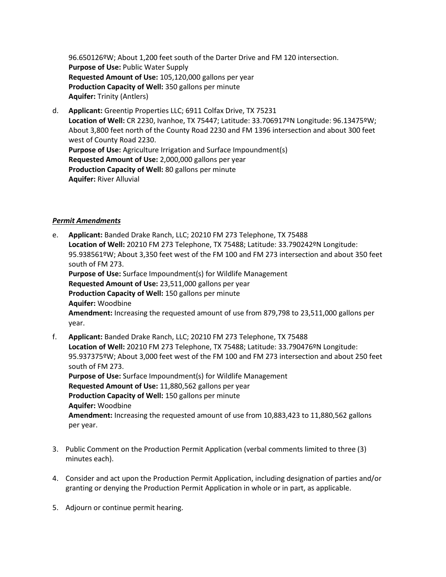96.650126ºW; About 1,200 feet south of the Darter Drive and FM 120 intersection. **Purpose of Use:** Public Water Supply **Requested Amount of Use:** 105,120,000 gallons per year **Production Capacity of Well:** 350 gallons per minute **Aquifer:** Trinity (Antlers)

d. **Applicant:** Greentip Properties LLC; 6911 Colfax Drive, TX 75231 **Location of Well:** CR 2230, Ivanhoe, TX 75447; Latitude: 33.706917ºN Longitude: 96.13475ºW; About 3,800 feet north of the County Road 2230 and FM 1396 intersection and about 300 feet west of County Road 2230. **Purpose of Use:** Agriculture Irrigation and Surface Impoundment(s) **Requested Amount of Use:** 2,000,000 gallons per year **Production Capacity of Well:** 80 gallons per minute **Aquifer:** River Alluvial

## *Permit Amendments*

- e. **Applicant:** Banded Drake Ranch, LLC; 20210 FM 273 Telephone, TX 75488 **Location of Well:** 20210 FM 273 Telephone, TX 75488; Latitude: 33.790242ºN Longitude: 95.938561ºW; About 3,350 feet west of the FM 100 and FM 273 intersection and about 350 feet south of FM 273. **Purpose of Use:** Surface Impoundment(s) for Wildlife Management **Requested Amount of Use:** 23,511,000 gallons per year **Production Capacity of Well:** 150 gallons per minute **Aquifer:** Woodbine **Amendment:** Increasing the requested amount of use from 879,798 to 23,511,000 gallons per year.
- f. **Applicant:** Banded Drake Ranch, LLC; 20210 FM 273 Telephone, TX 75488 **Location of Well:** 20210 FM 273 Telephone, TX 75488; Latitude: 33.790476ºN Longitude: 95.937375ºW; About 3,000 feet west of the FM 100 and FM 273 intersection and about 250 feet south of FM 273. **Purpose of Use:** Surface Impoundment(s) for Wildlife Management **Requested Amount of Use:** 11,880,562 gallons per year **Production Capacity of Well:** 150 gallons per minute **Aquifer:** Woodbine **Amendment:** Increasing the requested amount of use from 10,883,423 to 11,880,562 gallons per year.
- 3. Public Comment on the Production Permit Application (verbal comments limited to three (3) minutes each).
- 4. Consider and act upon the Production Permit Application, including designation of parties and/or granting or denying the Production Permit Application in whole or in part, as applicable.
- 5. Adjourn or continue permit hearing.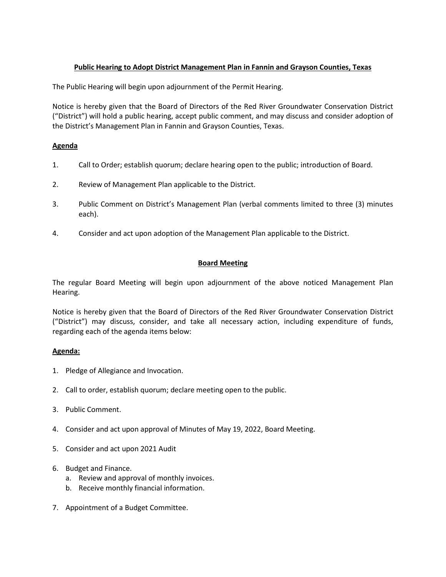## **Public Hearing to Adopt District Management Plan in Fannin and Grayson Counties, Texas**

The Public Hearing will begin upon adjournment of the Permit Hearing.

Notice is hereby given that the Board of Directors of the Red River Groundwater Conservation District ("District") will hold a public hearing, accept public comment, and may discuss and consider adoption of the District's Management Plan in Fannin and Grayson Counties, Texas.

### **Agenda**

- 1. Call to Order; establish quorum; declare hearing open to the public; introduction of Board.
- 2. Review of Management Plan applicable to the District.
- 3. Public Comment on District's Management Plan (verbal comments limited to three (3) minutes each).
- 4. Consider and act upon adoption of the Management Plan applicable to the District.

## **Board Meeting**

The regular Board Meeting will begin upon adjournment of the above noticed Management Plan Hearing.

Notice is hereby given that the Board of Directors of the Red River Groundwater Conservation District ("District") may discuss, consider, and take all necessary action, including expenditure of funds, regarding each of the agenda items below:

### **Agenda:**

- 1. Pledge of Allegiance and Invocation.
- 2. Call to order, establish quorum; declare meeting open to the public.
- 3. Public Comment.
- 4. Consider and act upon approval of Minutes of May 19, 2022, Board Meeting.
- 5. Consider and act upon 2021 Audit
- 6. Budget and Finance.
	- a. Review and approval of monthly invoices.
	- b. Receive monthly financial information.
- 7. Appointment of a Budget Committee.